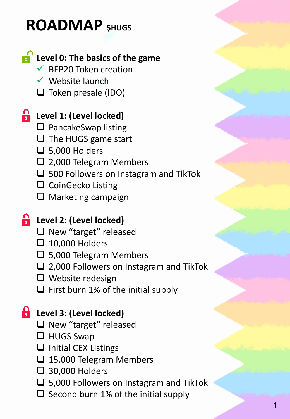# **ROADMAP \$HUGS**

# **Level 0: The basics of the game**

- $\checkmark$  BEP20 Token creation
- $\checkmark$  Website launch
- □ Token presale (IDO)

# **Level 1: (Level locked)**

- ❑ PancakeSwap listing
- □ The HUGS game start
- $\Box$  5,000 Holders
- ❑ 2,000 Telegram Members
- ❑ 500 Followers on Instagram and TikTok
- ❑ CoinGecko Listing
- ❑ Marketing campaign

#### **Level 2: (Level locked)**

- ❑ New "target" released
- ❑ 10,000 Holders
- ❑ 5,000 Telegram Members
- ❑ 2,000 Followers on Instagram and TikTok
- ❑ Website redesign
- $\Box$  First burn 1% of the initial supply

### **Level 3: (Level locked)**

- □ New "target" released
- ❑ HUGS Swap
- ❑ Initial CEX Listings
- ❑ 15,000 Telegram Members
- ❑ 30,000 Holders
- ❑ 5,000 Followers on Instagram and TikTok
- $\Box$  Second burn 1% of the initial supply